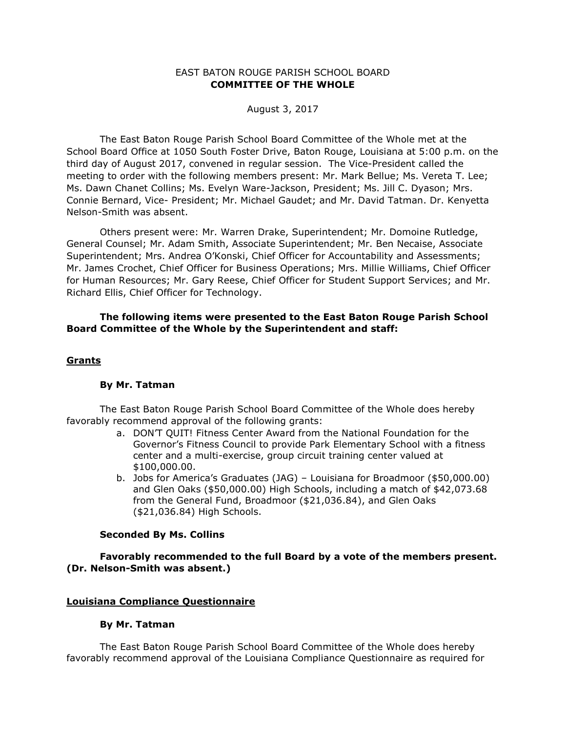## EAST BATON ROUGE PARISH SCHOOL BOARD **COMMITTEE OF THE WHOLE**

August 3, 2017

The East Baton Rouge Parish School Board Committee of the Whole met at the School Board Office at 1050 South Foster Drive, Baton Rouge, Louisiana at 5:00 p.m. on the third day of August 2017, convened in regular session. The Vice-President called the meeting to order with the following members present: Mr. Mark Bellue; Ms. Vereta T. Lee; Ms. Dawn Chanet Collins; Ms. Evelyn Ware-Jackson, President; Ms. Jill C. Dyason; Mrs. Connie Bernard, Vice- President; Mr. Michael Gaudet; and Mr. David Tatman. Dr. Kenyetta Nelson-Smith was absent.

Others present were: Mr. Warren Drake, Superintendent; Mr. Domoine Rutledge, General Counsel; Mr. Adam Smith, Associate Superintendent; Mr. Ben Necaise, Associate Superintendent; Mrs. Andrea O'Konski, Chief Officer for Accountability and Assessments; Mr. James Crochet, Chief Officer for Business Operations; Mrs. Millie Williams, Chief Officer for Human Resources; Mr. Gary Reese, Chief Officer for Student Support Services; and Mr. Richard Ellis, Chief Officer for Technology.

# **The following items were presented to the East Baton Rouge Parish School Board Committee of the Whole by the Superintendent and staff:**

## **Grants**

### **By Mr. Tatman**

The East Baton Rouge Parish School Board Committee of the Whole does hereby favorably recommend approval of the following grants:

- a. DON'T QUIT! Fitness Center Award from the National Foundation for the Governor's Fitness Council to provide Park Elementary School with a fitness center and a multi-exercise, group circuit training center valued at \$100,000.00.
- b. Jobs for America's Graduates (JAG) Louisiana for Broadmoor (\$50,000.00) and Glen Oaks (\$50,000.00) High Schools, including a match of \$42,073.68 from the General Fund, Broadmoor (\$21,036.84), and Glen Oaks (\$21,036.84) High Schools.

### **Seconded By Ms. Collins**

**Favorably recommended to the full Board by a vote of the members present. (Dr. Nelson-Smith was absent.)**

### **Louisiana Compliance Questionnaire**

### **By Mr. Tatman**

The East Baton Rouge Parish School Board Committee of the Whole does hereby favorably recommend approval of the Louisiana Compliance Questionnaire as required for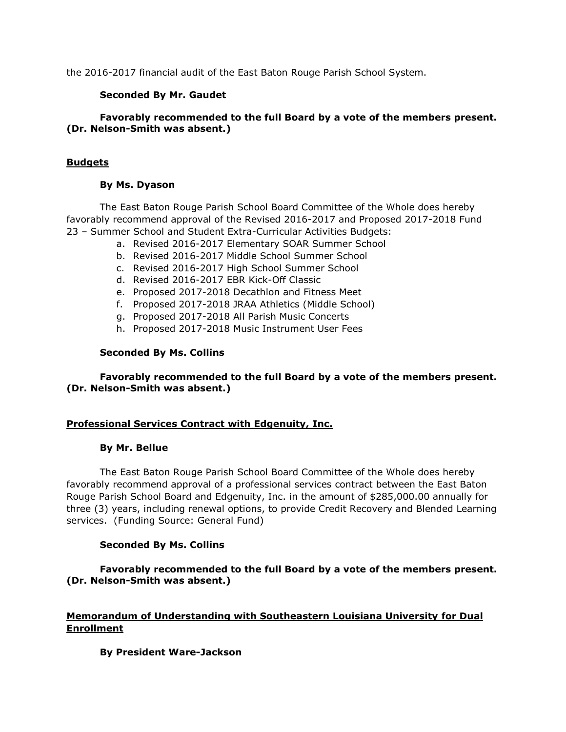the 2016-2017 financial audit of the East Baton Rouge Parish School System.

# **Seconded By Mr. Gaudet**

# **Favorably recommended to the full Board by a vote of the members present. (Dr. Nelson-Smith was absent.)**

# **Budgets**

# **By Ms. Dyason**

The East Baton Rouge Parish School Board Committee of the Whole does hereby favorably recommend approval of the Revised 2016-2017 and Proposed 2017-2018 Fund 23 – Summer School and Student Extra-Curricular Activities Budgets:

- a. Revised 2016-2017 Elementary SOAR Summer School
- b. Revised 2016-2017 Middle School Summer School
- c. Revised 2016-2017 High School Summer School
- d. Revised 2016-2017 EBR Kick-Off Classic
- e. Proposed 2017-2018 Decathlon and Fitness Meet
- f. Proposed 2017-2018 JRAA Athletics (Middle School)
- g. Proposed 2017-2018 All Parish Music Concerts
- h. Proposed 2017-2018 Music Instrument User Fees

# **Seconded By Ms. Collins**

# **Favorably recommended to the full Board by a vote of the members present. (Dr. Nelson-Smith was absent.)**

## **Professional Services Contract with Edgenuity, Inc.**

## **By Mr. Bellue**

The East Baton Rouge Parish School Board Committee of the Whole does hereby favorably recommend approval of a professional services contract between the East Baton Rouge Parish School Board and Edgenuity, Inc. in the amount of \$285,000.00 annually for three (3) years, including renewal options, to provide Credit Recovery and Blended Learning services. (Funding Source: General Fund)

# **Seconded By Ms. Collins**

# **Favorably recommended to the full Board by a vote of the members present. (Dr. Nelson-Smith was absent.)**

# **Memorandum of Understanding with Southeastern Louisiana University for Dual Enrollment**

# **By President Ware-Jackson**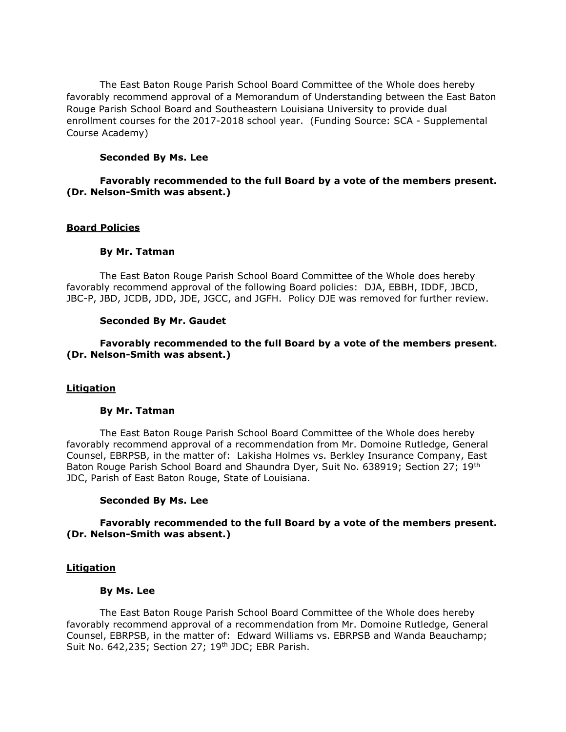The East Baton Rouge Parish School Board Committee of the Whole does hereby favorably recommend approval of a Memorandum of Understanding between the East Baton Rouge Parish School Board and Southeastern Louisiana University to provide dual enrollment courses for the 2017-2018 school year. (Funding Source: SCA - Supplemental Course Academy)

## **Seconded By Ms. Lee**

## **Favorably recommended to the full Board by a vote of the members present. (Dr. Nelson-Smith was absent.)**

## **Board Policies**

## **By Mr. Tatman**

The East Baton Rouge Parish School Board Committee of the Whole does hereby favorably recommend approval of the following Board policies: DJA, EBBH, IDDF, JBCD, JBC-P, JBD, JCDB, JDD, JDE, JGCC, and JGFH. Policy DJE was removed for further review.

### **Seconded By Mr. Gaudet**

## **Favorably recommended to the full Board by a vote of the members present. (Dr. Nelson-Smith was absent.)**

### **Litigation**

## **By Mr. Tatman**

The East Baton Rouge Parish School Board Committee of the Whole does hereby favorably recommend approval of a recommendation from Mr. Domoine Rutledge, General Counsel, EBRPSB, in the matter of: Lakisha Holmes vs. Berkley Insurance Company, East Baton Rouge Parish School Board and Shaundra Dyer, Suit No. 638919; Section 27; 19th JDC, Parish of East Baton Rouge, State of Louisiana.

### **Seconded By Ms. Lee**

## **Favorably recommended to the full Board by a vote of the members present. (Dr. Nelson-Smith was absent.)**

### **Litigation**

### **By Ms. Lee**

The East Baton Rouge Parish School Board Committee of the Whole does hereby favorably recommend approval of a recommendation from Mr. Domoine Rutledge, General Counsel, EBRPSB, in the matter of: Edward Williams vs. EBRPSB and Wanda Beauchamp; Suit No. 642,235; Section 27; 19<sup>th</sup> JDC; EBR Parish.